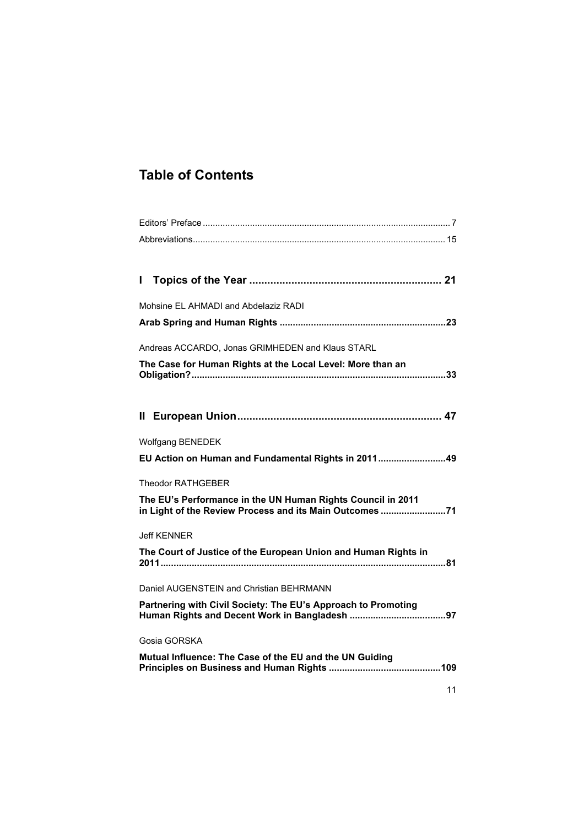## **Table of Contents**

| Mohsine EL AHMADI and Abdelaziz RADI                                                                                   |
|------------------------------------------------------------------------------------------------------------------------|
|                                                                                                                        |
| Andreas ACCARDO, Jonas GRIMHEDEN and Klaus STARL                                                                       |
| The Case for Human Rights at the Local Level: More than an                                                             |
|                                                                                                                        |
|                                                                                                                        |
|                                                                                                                        |
| <b>Wolfgang BENEDEK</b>                                                                                                |
| EU Action on Human and Fundamental Rights in 201149                                                                    |
| <b>Theodor RATHGEBER</b>                                                                                               |
| The EU's Performance in the UN Human Rights Council in 2011<br>in Light of the Review Process and its Main Outcomes 71 |
| <b>Jeff KENNER</b>                                                                                                     |
| The Court of Justice of the European Union and Human Rights in                                                         |
| Daniel AUGENSTEIN and Christian BEHRMANN                                                                               |
| Partnering with Civil Society: The EU's Approach to Promoting                                                          |
| Gosia GORSKA                                                                                                           |
| Mutual Influence: The Case of the EU and the UN Guiding                                                                |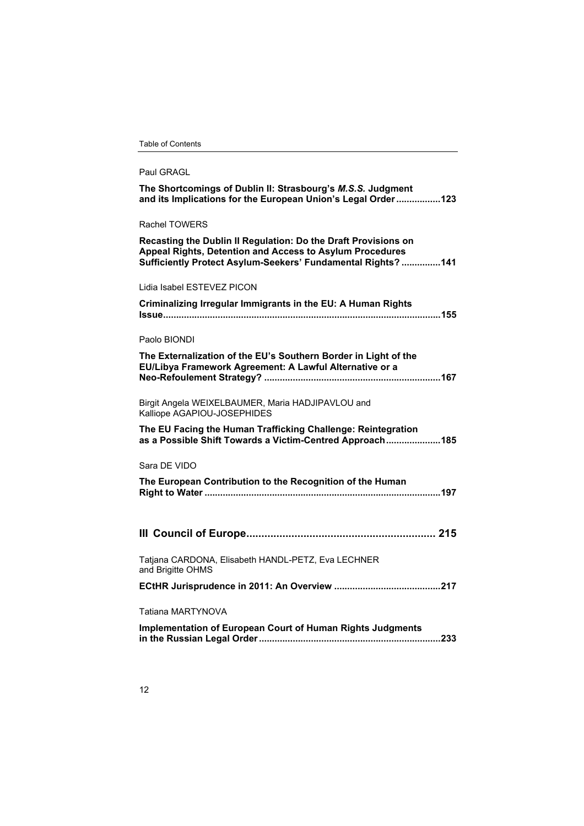|  |  |  |  |  | <b>Table of Contents</b> |  |  |
|--|--|--|--|--|--------------------------|--|--|
|--|--|--|--|--|--------------------------|--|--|

| Paul GRAGL                                                                                                                                                                                  |
|---------------------------------------------------------------------------------------------------------------------------------------------------------------------------------------------|
| The Shortcomings of Dublin II: Strasbourg's M.S.S. Judgment<br>and its Implications for the European Union's Legal Order123                                                                 |
| <b>Rachel TOWERS</b>                                                                                                                                                                        |
| Recasting the Dublin II Regulation: Do the Draft Provisions on<br>Appeal Rights, Detention and Access to Asylum Procedures<br>Sufficiently Protect Asylum-Seekers' Fundamental Rights?  141 |
| Lidia Isabel ESTEVEZ PICON                                                                                                                                                                  |
| Criminalizing Irregular Immigrants in the EU: A Human Rights                                                                                                                                |
| Paolo BIONDI                                                                                                                                                                                |
| The Externalization of the EU's Southern Border in Light of the<br>EU/Libya Framework Agreement: A Lawful Alternative or a                                                                  |
| Birgit Angela WEIXELBAUMER, Maria HADJIPAVLOU and<br>Kalliope AGAPIOU-JOSEPHIDES                                                                                                            |
| The EU Facing the Human Trafficking Challenge: Reintegration<br>as a Possible Shift Towards a Victim-Centred Approach185                                                                    |
| Sara DE VIDO                                                                                                                                                                                |
| The European Contribution to the Recognition of the Human                                                                                                                                   |
|                                                                                                                                                                                             |
| Tatjana CARDONA, Elisabeth HANDL-PETZ, Eva LECHNER<br>and Brigitte OHMS                                                                                                                     |
|                                                                                                                                                                                             |
| Tatiana MARTYNOVA                                                                                                                                                                           |
| <b>Implementation of European Court of Human Rights Judgments</b>                                                                                                                           |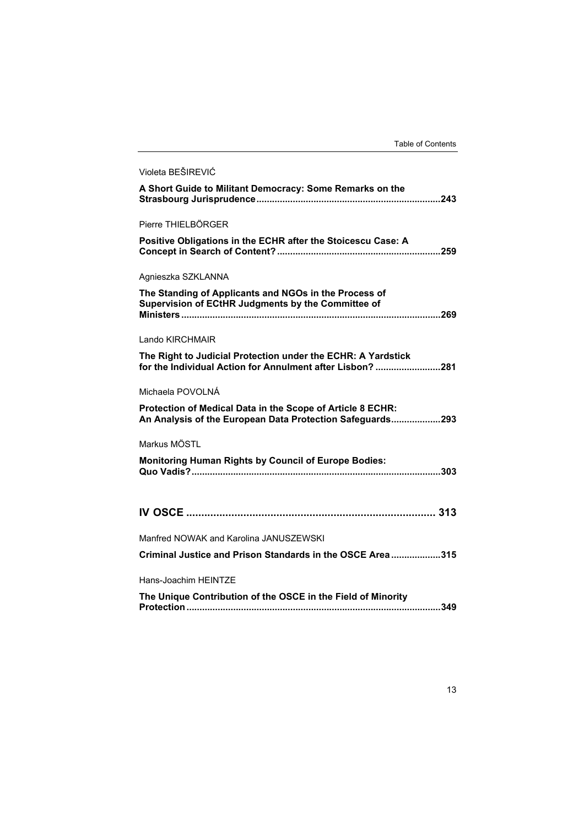| Violeta BEŠIREVIĆ                                                                                                         |
|---------------------------------------------------------------------------------------------------------------------------|
| A Short Guide to Militant Democracy: Some Remarks on the                                                                  |
| Pierre THIELBÖRGER                                                                                                        |
| Positive Obligations in the ECHR after the Stoicescu Case: A                                                              |
| Agnieszka SZKLANNA                                                                                                        |
| The Standing of Applicants and NGOs in the Process of<br>Supervision of ECtHR Judgments by the Committee of               |
| Lando KIRCHMAIR                                                                                                           |
| The Right to Judicial Protection under the ECHR: A Yardstick<br>for the Individual Action for Annulment after Lisbon? 281 |
| Michaela POVOLNÁ                                                                                                          |
| Protection of Medical Data in the Scope of Article 8 ECHR:<br>An Analysis of the European Data Protection Safeguards293   |
| Markus MÖSTL                                                                                                              |
| <b>Monitoring Human Rights by Council of Europe Bodies:</b>                                                               |
|                                                                                                                           |
| Manfred NOWAK and Karolina JANUSZEWSKI                                                                                    |
| Criminal Justice and Prison Standards in the OSCE Area315                                                                 |
| Hans-Joachim HEINTZE                                                                                                      |
| The Unique Contribution of the OSCE in the Field of Minority                                                              |